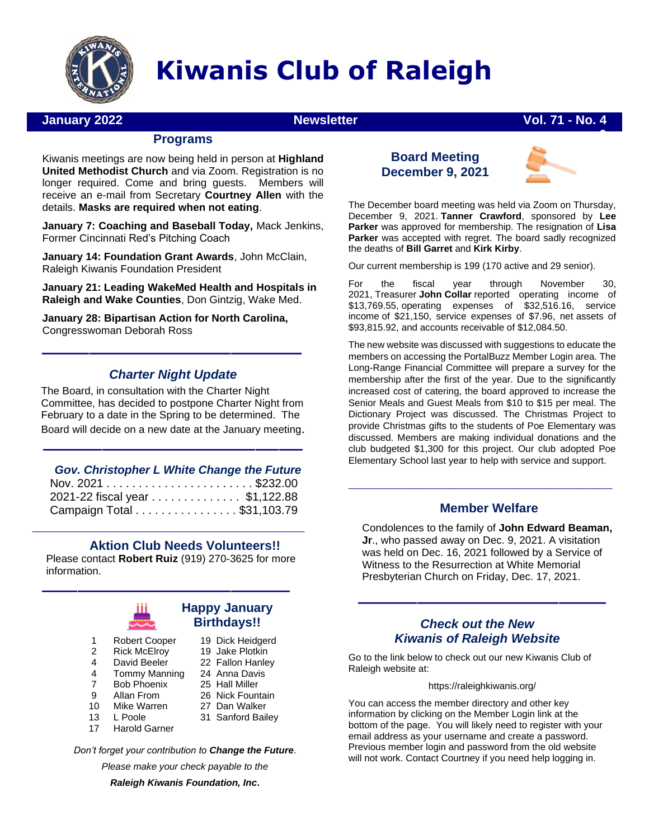

# **Kiwanis Club of Raleigh**

## **January 2022 Newsletter Vol. 71 - No. 4**

## **9 Programs**

Kiwanis meetings are now being held in person at **Highland United Methodist Church** and via Zoom. Registration is no longer required. Come and bring guests. Members will receive an e-mail from Secretary **Courtney Allen** with the details. **Masks are required when not eating**.

**January 7: Coaching and Baseball Today,** Mack Jenkins, Former Cincinnati Red's Pitching Coach

**January 14: Foundation Grant Awards**, John McClain, Raleigh Kiwanis Foundation President

**January 21: Leading WakeMed Health and Hospitals in Raleigh and Wake Counties**, Don Gintzig, Wake Med.

**January 28: Bipartisan Action for North Carolina,**  Congresswoman Deborah Ross

## *Charter Night Update*

––––––––––––––––––––––

The Board, in consultation with the Charter Night Committee, has decided to postpone Charter Night from February to a date in the Spring to be determined. The Board will decide on a new date at the January meeting.

––––––––––––––––––––––

#### *Gov. Christopher L White Change the Future*

| 2021-22 fiscal year \$1,122.88 |
|--------------------------------|
| Campaign Total \$31,103.79     |

## **Aktion Club Needs Volunteers!!**

Please contact **Robert Ruiz** (919) 270-3625 for more information.

**\_\_\_\_\_\_\_\_\_\_\_\_\_\_\_\_\_\_\_\_\_\_\_\_\_\_\_\_\_\_\_\_\_**



## ––––––––––––––––––––– **Happy January Birthdays!!**

 Dick Heidgerd Jake Plotkin Fallon Hanley Anna Davis

- 1 2 Robert Cooper
- 4 Rick McElroy David Beeler
- 4 Tommy Manning
- 7 Bob Phoenix
- $\alpha$ Allan From
- 10 Mike Warren
- 13 L Poole
- 17 Harold Garner
- 25 Hall Miller 26 Nick Fountain
- 27 Dan Walker
- 31 Sanford Bailey

*Don't forget your contribution to Change the Future*.

*Please make your check payable to the*

*Raleigh Kiwanis Foundation, Inc***.**





The December board meeting was held via Zoom on Thursday, December 9, 2021. **Tanner Crawford**, sponsored by **Lee Parker** was approved for membership. The resignation of **Lisa Parker** was accepted with regret. The board sadly recognized the deaths of **Bill Garret** and **Kirk Kirby**.

Our current membership is 199 (170 active and 29 senior).

For the fiscal year through November 30, 2021, Treasurer **John Collar** reported operating income of \$13,769.55, operating expenses of \$32,516.16, service income of \$21,150, service expenses of \$7.96, net assets of \$93,815.92, and accounts receivable of \$12,084.50.

The new website was discussed with suggestions to educate the members on accessing the PortalBuzz Member Login area. The Long-Range Financial Committee will prepare a survey for the membership after the first of the year. Due to the significantly increased cost of catering, the board approved to increase the Senior Meals and Guest Meals from \$10 to \$15 per meal. The Dictionary Project was discussed. The Christmas Project to provide Christmas gifts to the students of Poe Elementary was discussed. Members are making individual donations and the club budgeted \$1,300 for this project. Our club adopted Poe Elementary School last year to help with service and support.

## **Member Welfare**

**\_\_\_\_\_\_\_\_\_\_\_\_\_\_\_\_\_\_\_\_\_\_\_\_\_\_\_\_\_\_\_\_**

Condolences to the family of **John Edward Beaman, Jr**., who passed away on Dec. 9, 2021. A visitation was held on Dec. 16, 2021 followed by a Service of Witness to the Resurrection at White Memorial Presbyterian Church on Friday, Dec. 17, 2021.

### *Check out the New Kiwanis of Raleigh Website*

–––––––––––––––––––––

Go to the link below to check out our new Kiwanis Club of Raleigh website at:

#### <https://raleighkiwanis.org/>

You can access the member directory and other key information by clicking on the Member Login link at the bottom of the page. You will likely need to register with your email address as your username and create a password. Previous member login and password from the old website will not work. Contact Courtney if you need help logging in.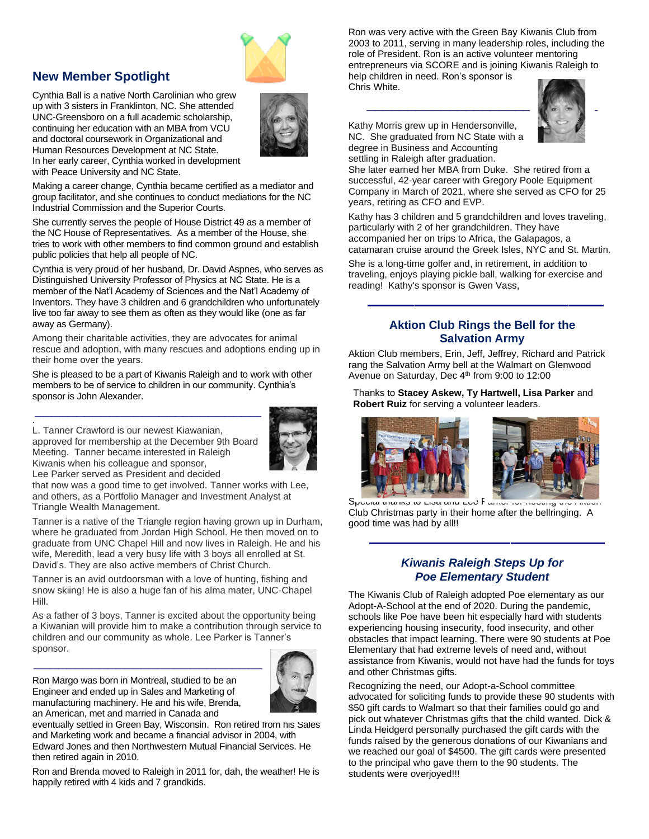## **New Member Spotlight**

Cynthia Ball is a native North Carolinian who grew up with 3 sisters in Franklinton, NC. She attended UNC-Greensboro on a full academic scholarship, continuing her education with an MBA from VCU and doctoral coursework in Organizational and Human Resources Development at NC State. In her early career, Cynthia worked in development with Peace University and NC State.



Making a career change, Cynthia became certified as a mediator and group facilitator, and she continues to conduct mediations for the NC Industrial Commission and the Superior Courts.

She currently serves the people of House District 49 as a member of the NC House of Representatives. As a member of the House, she tries to work with other members to find common ground and establish public policies that help all people of NC.

Cynthia is very proud of her husband, Dr. David Aspnes, who serves as Distinguished University Professor of Physics at NC State. He is a member of the Nat'l Academy of Sciences and the Nat'l Academy of Inventors. They have 3 children and 6 grandchildren who unfortunately live too far away to see them as often as they would like (one as far away as Germany).

Among their charitable activities, they are advocates for animal rescue and adoption, with many rescues and adoptions ending up in their home over the years.

She is pleased to be a part of Kiwanis Raleigh and to work with other members to be of service to children in our community. Cynthia's sponsor is John Alexander.

L. Tanner Crawford is our newest Kiawanian, approved for membership at the December 9th Board Meeting. Tanner became interested in Raleigh Kiwanis when his colleague and sponsor,



Lee Parker served as President and decided

.

that now was a good time to get involved. Tanner works with Lee, and others, as a Portfolio Manager and Investment Analyst at Triangle Wealth Management.

Tanner is a native of the Triangle region having grown up in Durham, where he graduated from Jordan High School. He then moved on to graduate from UNC Chapel Hill and now lives in Raleigh. He and his wife, Meredith, lead a very busy life with 3 boys all enrolled at St. David's. They are also active members of Christ Church.

Tanner is an avid outdoorsman with a love of hunting, fishing and snow skiing! He is also a huge fan of his alma mater, UNC-Chapel Hill.

As a father of 3 boys, Tanner is excited about the opportunity being a Kiwanian will provide him to make a contribution through service to children and our community as whole. Lee Parker is Tanner's sponsor.

Ron Margo was born in Montreal, studied to be an Engineer and ended up in Sales and Marketing of manufacturing machinery. He and his wife, Brenda, an American, met and married in Canada and



eventually settled in Green Bay, Wisconsin. Ron retired from his Sales and Marketing work and became a financial advisor in 2004, with Edward Jones and then Northwestern Mutual Financial Services. He then retired again in 2010.

Ron and Brenda moved to Raleigh in 2011 for, dah, the weather! He is happily retired with 4 kids and 7 grandkids.

Ron was very active with the Green Bay Kiwanis Club from 2003 to 2011, serving in many leadership roles, including the role of President. Ron is an active volunteer mentoring entrepreneurs via SCORE and is joining Kiwanis Raleigh to

help children in need. Ron's sponsor is Chris White.



Kathy Morris grew up in Hendersonville, NC. She graduated from NC State with a degree in Business and Accounting settling in Raleigh after graduation.

She later earned her MBA from Duke. She retired from a successful, 42-year career with Gregory Poole Equipment Company in March of 2021, where she served as CFO for 25 years, retiring as CFO and EVP.

Kathy has 3 children and 5 grandchildren and loves traveling, particularly with 2 of her grandchildren. They have accompanied her on trips to Africa, the Galapagos, a catamaran cruise around the Greek Isles, NYC and St. Martin.

She is a long-time golfer and, in retirement, in addition to traveling, enjoys playing pickle ball, walking for exercise and reading! Kathy's sponsor is Gwen Vass,

#### **Aktion Club Rings the Bell for the Salvation Army**

––––––––––––––––––––

Aktion Club members, Erin, Jeff, Jeffrey, Richard and Patrick rang the Salvation Army bell at the Walmart on Glenwood Avenue on Saturday, Dec 4<sup>th</sup> from 9:00 to 12:00

Thanks to **Stacey Askew, Ty Hartwell, Lisa Parker** and **Robert Ruiz** for serving a volunteer leaders.





Special thanks to Lisa and Lee Farker for hosting the Aktion Club Christmas party in their home after the bellringing. A good time was had by all!!

## *Kiwanis Raleigh Steps Up for Poe Elementary Student*

––––––––––––––––––––

The Kiwanis Club of Raleigh adopted Poe elementary as our Adopt-A-School at the end of 2020. During the pandemic, schools like Poe have been hit especially hard with students experiencing housing insecurity, food insecurity, and other obstacles that impact learning. There were 90 students at Poe Elementary that had extreme levels of need and, without assistance from Kiwanis, would not have had the funds for toys and other Christmas gifts.

Recognizing the need, our Adopt-a-School committee advocated for soliciting funds to provide these 90 students with \$50 gift cards to Walmart so that their families could go and pick out whatever Christmas gifts that the child wanted. Dick & Linda Heidgerd personally purchased the gift cards with the funds raised by the generous donations of our Kiwanians and we reached our goal of \$4500. The gift cards were presented to the principal who gave them to the 90 students. The students were overjoyed!!!